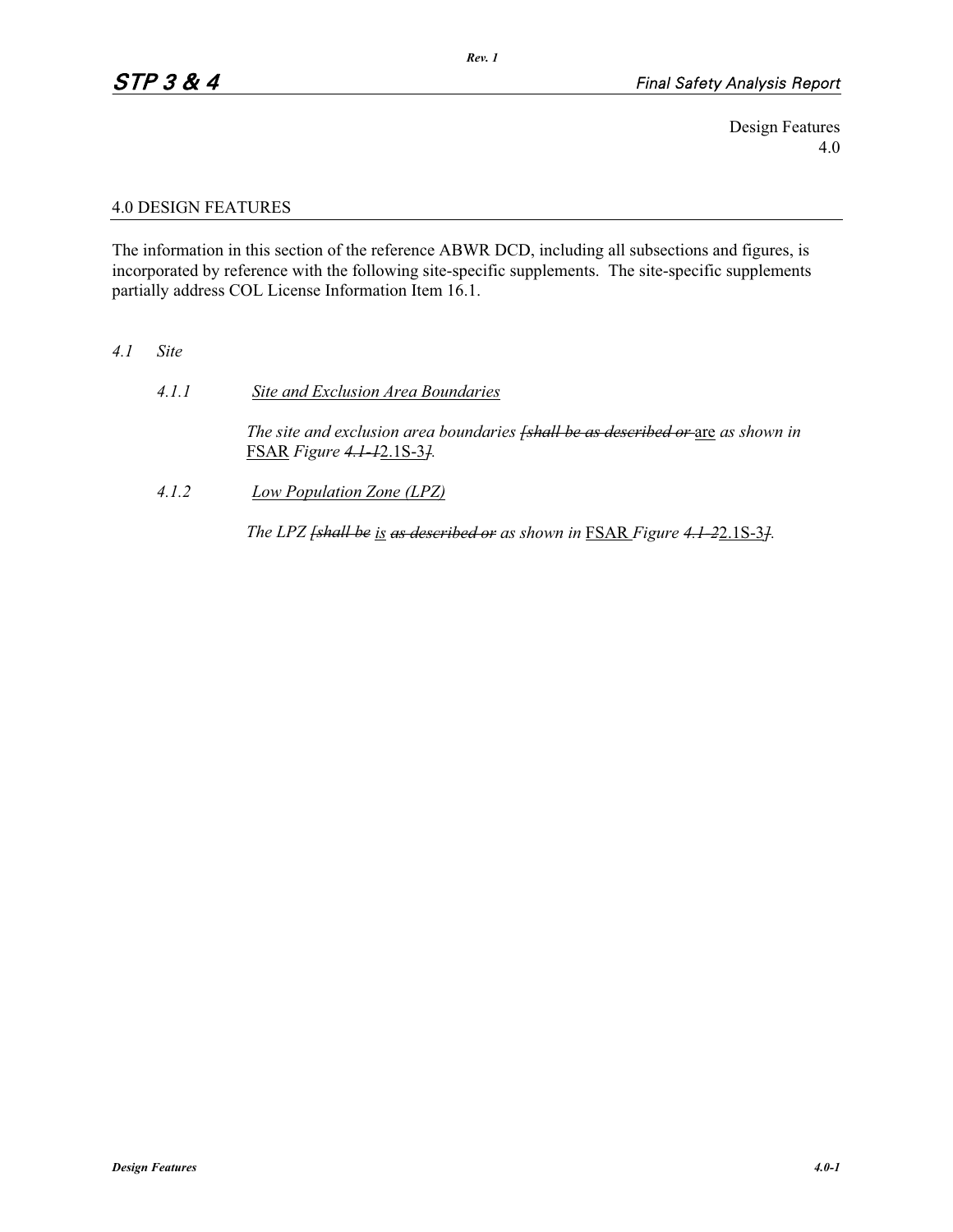Design Features 4.0

## 4.0 DESIGN FEATURES

The information in this section of the reference ABWR DCD, including all subsections and figures, is incorporated by reference with the following site-specific supplements. The site-specific supplements partially address COL License Information Item 16.1.

- *4.1 Site* 
	- *4.1.1 Site and Exclusion Area Boundaries The site and exclusion area boundaries [shall be as described or* are *as shown in*  FSAR *Figure 4.1-1*2.1S-3*].*
	- *4.1.2 Low Population Zone (LPZ)*

*The LPZ [shall be is as described or as shown in* FSAR *Figure 4.1-2*2.1S-3*].*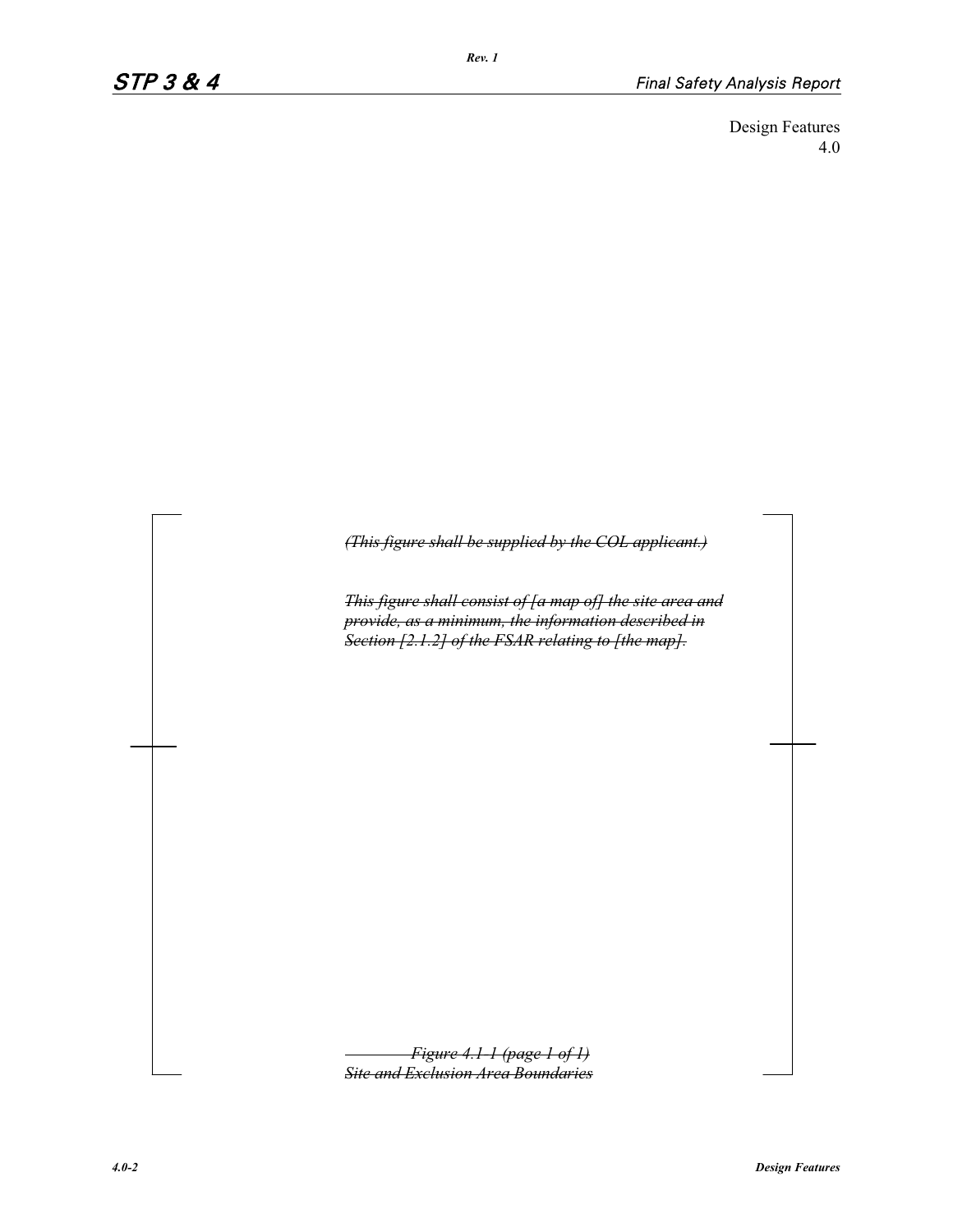Design Features 4.0

*(This figure shall be supplied by the COL applicant.)*

*This figure shall consist of [a map of] the site area and provide, as a minimum, the information described in Section [2.1.2] of the FSAR relating to [the map].*

*Figure 4.1-1 (page 1 of 1) Site and Exclusion Area Boundaries*